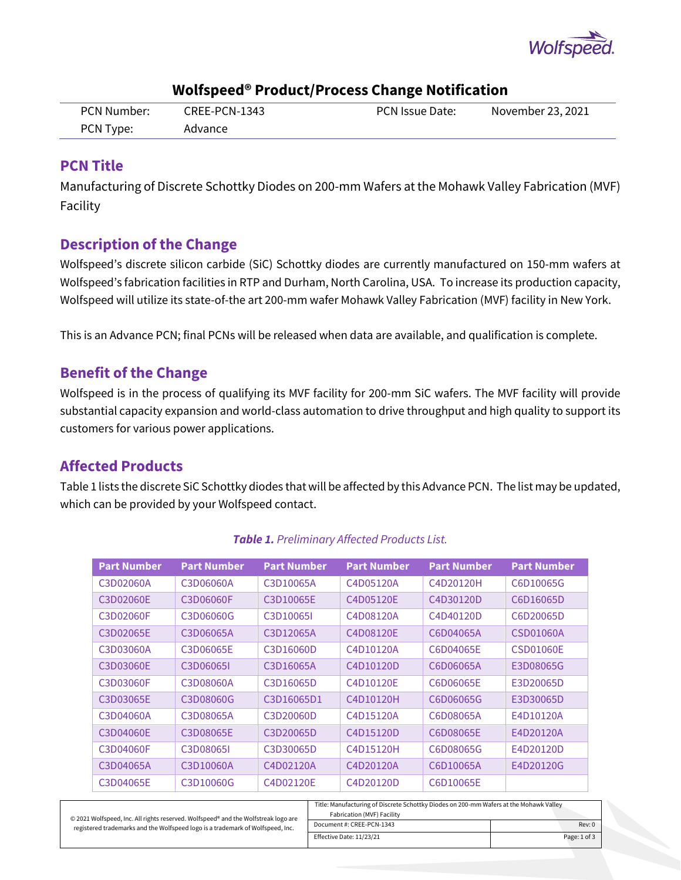

| PCN Number: | CREE-PCN-1343 | PCN Issue Date: | November 23, 2021 |
|-------------|---------------|-----------------|-------------------|
| PCN Type:   | Advance       |                 |                   |

## **Wolfspeed® Product/Process Change Notification**

## **PCN Title**

Manufacturing of Discrete Schottky Diodes on 200-mm Wafers at the Mohawk Valley Fabrication (MVF) Facility

## **Description of the Change**

Wolfspeed's discrete silicon carbide (SiC) Schottky diodes are currently manufactured on 150-mm wafers at Wolfspeed's fabrication facilities in RTP and Durham, North Carolina, USA. To increase its production capacity, Wolfspeed will utilize its state-of-the art 200-mm wafer Mohawk Valley Fabrication (MVF) facility in New York.

This is an Advance PCN; final PCNs will be released when data are available, and qualification is complete.

## **Benefit of the Change**

Wolfspeed is in the process of qualifying its MVF facility for 200-mm SiC wafers. The MVF facility will provide substantial capacity expansion and world-class automation to drive throughput and high quality to support its customers for various power applications.

## **Affected Products**

Table 1 lists the discrete SiC Schottky diodes that will be affected by this Advance PCN. The list may be updated, which can be provided by your Wolfspeed contact.

| <b>Part Number</b> | <b>Part Number</b> | <b>Part Number</b> | <b>Part Number</b> | <b>Part Number</b> | <b>Part Number</b> |
|--------------------|--------------------|--------------------|--------------------|--------------------|--------------------|
| C3D02060A          | C3D06060A          | C3D10065A          | C4D05120A          | C4D20120H          | C6D10065G          |
| C3D02060E          | C3D06060F          | C3D10065E          | C4D05120E          | C4D30120D          | C6D16065D          |
| C3D02060F          | C3D06060G          | C3D100651          | C4D08120A          | C4D40120D          | C6D20065D          |
| C3D02065E          | C3D06065A          | C3D12065A          | C4D08120E          | C6D04065A          | CSD01060A          |
| C3D03060A          | C3D06065E          | C3D16060D          | C4D10120A          | C6D04065E          | CSD01060E          |
| C3D03060E          | C3D060651          | C3D16065A          | C4D10120D          | C6D06065A          | E3D08065G          |
| C3D03060F          | C3D08060A          | C3D16065D          | C4D10120E          | C6D06065E          | E3D20065D          |
| C3D03065E          | C3D08060G          | C3D16065D1         | C4D10120H          | C6D06065G          | E3D30065D          |
| C3D04060A          | C3D08065A          | C3D20060D          | C4D15120A          | C6D08065A          | E4D10120A          |
| C3D04060E          | C3D08065E          | C3D20065D          | C4D15120D          | C6D08065E          | E4D20120A          |
| C3D04060F          | C3D080651          | C3D30065D          | C4D15120H          | C6D08065G          | E4D20120D          |
| C3D04065A          | C3D10060A          | C4D02120A          | C4D20120A          | C6D10065A          | E4D20120G          |
| C3D04065E          | C3D10060G          | C4D02120E          | C4D20120D          | C6D10065E          |                    |

#### *Table 1. Preliminary Affected Products List.*

|                                                                                    | Title: Manufacturing of Discrete Schottky Diodes on 200-mm Wafers at the Mohawk Valley |              |  |
|------------------------------------------------------------------------------------|----------------------------------------------------------------------------------------|--------------|--|
| © 2021 Wolfspeed, Inc. All rights reserved. Wolfspeed® and the Wolfstreak logo are | Fabrication (MVF) Facility                                                             |              |  |
| registered trademarks and the Wolfspeed logo is a trademark of Wolfspeed, Inc.     | Document #: CREE-PCN-1343                                                              | Rev: 0       |  |
|                                                                                    | Effective Date: 11/23/21                                                               | Page: 1 of 3 |  |
|                                                                                    |                                                                                        |              |  |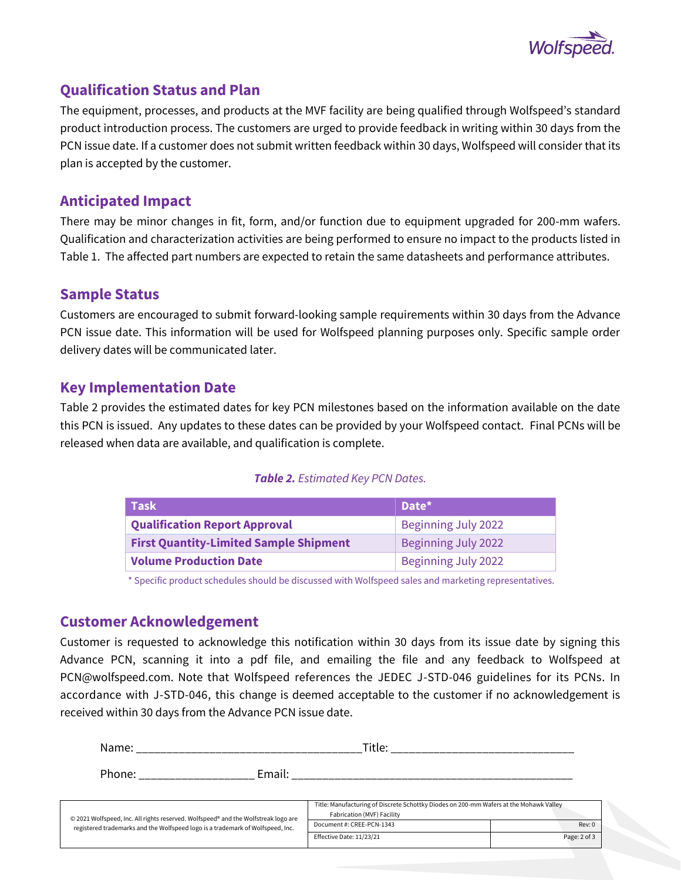

## **Qualification Status and Plan**

The equipment, processes, and products at the MVF facility are being qualified through Wolfspeed's standard product introduction process. The customers are urged to provide feedback in writing within 30 days from the PCN issue date. If a customer does not submit written feedback within 30 days, Wolfspeed will consider that its plan is accepted by the customer.

## **Anticipated Impact**

There may be minor changes in fit, form, and/or function due to equipment upgraded for 200-mm wafers. Qualification and characterization activities are being performed to ensure no impact to the products listed in Table 1. The affected part numbers are expected to retain the same datasheets and performance attributes.

### **Sample Status**

Customers are encouraged to submit forward-looking sample requirements within 30 days from the Advance PCN issue date. This information will be used for Wolfspeed planning purposes only. Specific sample order delivery dates will be communicated later.

## **Key Implementation Date**

Table 2 provides the estimated dates for key PCN milestones based on the information available on the date this PCN is issued. Any updates to these dates can be provided by your Wolfspeed contact. Final PCNs will be released when data are available, and qualification is complete.

#### *Table 2. Estimated Key PCN Dates.*

| Task                                          | Date*                      |
|-----------------------------------------------|----------------------------|
| <b>Qualification Report Approval</b>          | <b>Beginning July 2022</b> |
| <b>First Quantity-Limited Sample Shipment</b> | Beginning July 2022        |
| <b>Volume Production Date</b>                 | Beginning July 2022        |

\* Specific product schedules should be discussed with Wolfspeed sales and marketing representatives.

## **Customer Acknowledgement**

Customer is requested to acknowledge this notification within 30 days from its issue date by signing this Advance PCN, scanning it into a pdf file, and emailing the file and any feedback to Wolfspeed at PCN@wolfspeed.com. Note that Wolfspeed references the JEDEC J-STD-046 guidelines for its PCNs. In accordance with J-STD-046, this change is deemed acceptable to the customer if no acknowledgement is received within 30 days from the Advance PCN issue date.

| Name:                                                                              | Title:                                                                                                                 |              |
|------------------------------------------------------------------------------------|------------------------------------------------------------------------------------------------------------------------|--------------|
| Email:<br>Phone:                                                                   | <u> 1950 - Johann John Stone, markin amerikan bisa dalam pengaran sebagai pertama dan bagian pertama dalam pengara</u> |              |
| © 2021 Wolfspeed, Inc. All rights reserved. Wolfspeed® and the Wolfstreak logo are | Title: Manufacturing of Discrete Schottky Diodes on 200-mm Wafers at the Mohawk Valley<br>Fabrication (MVF) Facility   |              |
| registered trademarks and the Wolfspeed logo is a trademark of Wolfspeed, Inc.     | Document #: CREE-PCN-1343                                                                                              | Rev: 0       |
|                                                                                    | Effective Date: 11/23/21                                                                                               | Page: 2 of 3 |
|                                                                                    |                                                                                                                        |              |